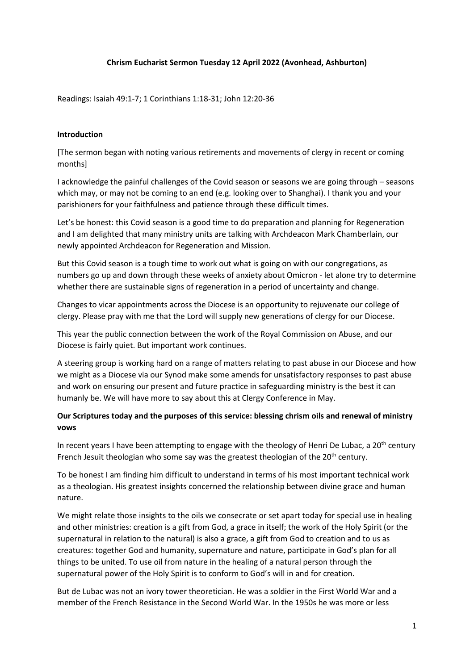## **Chrism Eucharist Sermon Tuesday 12 April 2022 (Avonhead, Ashburton)**

Readings: Isaiah 49:1-7; 1 Corinthians 1:18-31; John 12:20-36

## **Introduction**

[The sermon began with noting various retirements and movements of clergy in recent or coming months]

I acknowledge the painful challenges of the Covid season or seasons we are going through – seasons which may, or may not be coming to an end (e.g. looking over to Shanghai). I thank you and your parishioners for your faithfulness and patience through these difficult times.

Let's be honest: this Covid season is a good time to do preparation and planning for Regeneration and I am delighted that many ministry units are talking with Archdeacon Mark Chamberlain, our newly appointed Archdeacon for Regeneration and Mission.

But this Covid season is a tough time to work out what is going on with our congregations, as numbers go up and down through these weeks of anxiety about Omicron - let alone try to determine whether there are sustainable signs of regeneration in a period of uncertainty and change.

Changes to vicar appointments across the Diocese is an opportunity to rejuvenate our college of clergy. Please pray with me that the Lord will supply new generations of clergy for our Diocese.

This year the public connection between the work of the Royal Commission on Abuse, and our Diocese is fairly quiet. But important work continues.

A steering group is working hard on a range of matters relating to past abuse in our Diocese and how we might as a Diocese via our Synod make some amends for unsatisfactory responses to past abuse and work on ensuring our present and future practice in safeguarding ministry is the best it can humanly be. We will have more to say about this at Clergy Conference in May.

## **Our Scriptures today and the purposes of this service: blessing chrism oils and renewal of ministry vows**

In recent years I have been attempting to engage with the theology of Henri De Lubac, a  $20<sup>th</sup>$  century French Jesuit theologian who some say was the greatest theologian of the 20<sup>th</sup> century.

To be honest I am finding him difficult to understand in terms of his most important technical work as a theologian. His greatest insights concerned the relationship between divine grace and human nature.

We might relate those insights to the oils we consecrate or set apart today for special use in healing and other ministries: creation is a gift from God, a grace in itself; the work of the Holy Spirit (or the supernatural in relation to the natural) is also a grace, a gift from God to creation and to us as creatures: together God and humanity, supernature and nature, participate in God's plan for all things to be united. To use oil from nature in the healing of a natural person through the supernatural power of the Holy Spirit is to conform to God's will in and for creation.

But de Lubac was not an ivory tower theoretician. He was a soldier in the First World War and a member of the French Resistance in the Second World War. In the 1950s he was more or less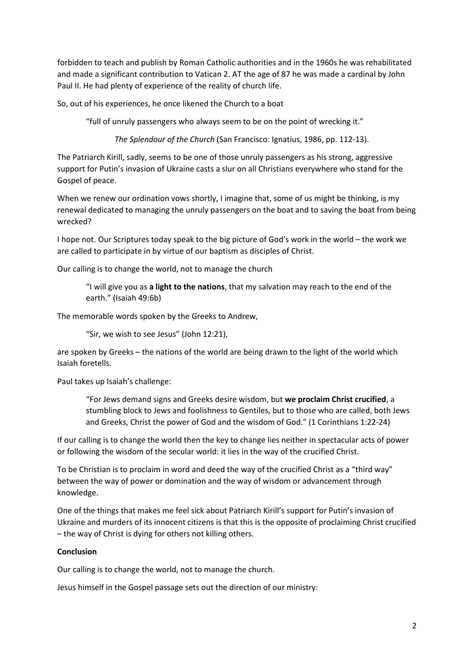forbidden to teach and publish by Roman Catholic authorities and in the 1960s he was rehabilitated and made a significant contribution to Vatican 2. AT the age of 87 he was made a cardinal by John Paul II. He had plenty of experience of the reality of church life.

So, out of his experiences, he once likened the Church to a boat

"full of unruly passengers who always seem to be on the point of wrecking it."

*The Splendour of the Church* (San Francisco: Ignatius, 1986, pp. 112-13).

The Patriarch Kirill, sadly, seems to be one of those unruly passengers as his strong, aggressive support for Putin's invasion of Ukraine casts a slur on all Christians everywhere who stand for the Gospel of peace.

When we renew our ordination vows shortly, I imagine that, some of us might be thinking, is my renewal dedicated to managing the unruly passengers on the boat and to saving the boat from being wrecked?

I hope not. Our Scriptures today speak to the big picture of God's work in the world – the work we are called to participate in by virtue of our baptism as disciples of Christ.

Our calling is to change the world, not to manage the church

"I will give you as **a light to the nations**, that my salvation may reach to the end of the earth." (Isaiah 49:6b)

The memorable words spoken by the Greeks to Andrew,

"Sir, we wish to see Jesus" (John 12:21),

are spoken by Greeks – the nations of the world are being drawn to the light of the world which Isaiah foretells.

Paul takes up Isaiah's challenge:

"For Jews demand signs and Greeks desire wisdom, but **we proclaim Christ crucified**, a stumbling block to Jews and foolishness to Gentiles, but to those who are called, both Jews and Greeks, Christ the power of God and the wisdom of God." (1 Corinthians 1:22-24)

If our calling is to change the world then the key to change lies neither in spectacular acts of power or following the wisdom of the secular world: it lies in the way of the crucified Christ.

To be Christian is to proclaim in word and deed the way of the crucified Christ as a "third way" between the way of power or domination and the way of wisdom or advancement through knowledge.

One of the things that makes me feel sick about Patriarch Kirill's support for Putin's invasion of Ukraine and murders of its innocent citizens is that this is the opposite of proclaiming Christ crucified – the way of Christ is dying for others not killing others.

## **Conclusion**

Our calling is to change the world, not to manage the church.

Jesus himself in the Gospel passage sets out the direction of our ministry: